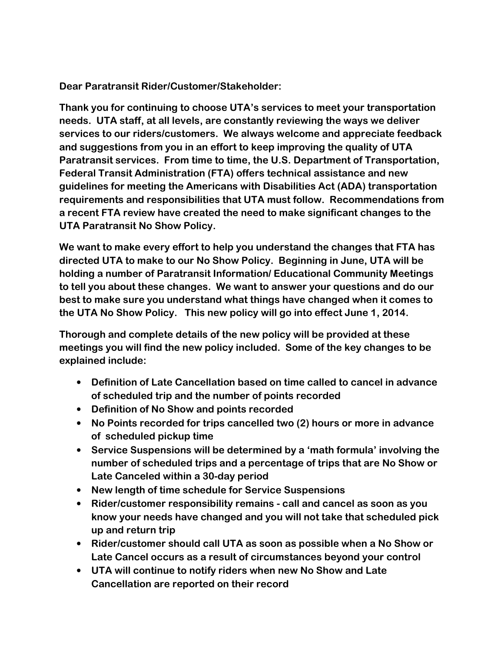**Dear Paratransit Rider/Customer/Stakeholder:** 

**Thank you for continuing to choose UTA's services to meet your transportation needs. UTA staff, at all levels, are constantly reviewing the ways we deliver services to our riders/customers. We always welcome and appreciate feedback and suggestions from you in an effort to keep improving the quality of UTA Paratransit services. From time to time, the U.S. Department of Transportation, Federal Transit Administration (FTA) offers technical assistance and new guidelines for meeting the Americans with Disabilities Act (ADA) transportation requirements and responsibilities that UTA must follow. Recommendations from a recent FTA review have created the need to make significant changes to the UTA Paratransit No Show Policy.** 

**We want to make every effort to help you understand the changes that FTA has directed UTA to make to our No Show Policy. Beginning in June, UTA will be holding a number of Paratransit Information/ Educational Community Meetings to tell you about these changes. We want to answer your questions and do our best to make sure you understand what things have changed when it comes to the UTA No Show Policy. This new policy will go into effect June 1, 2014.**

**Thorough and complete details of the new policy will be provided at these meetings you will find the new policy included. Some of the key changes to be explained include:** 

- **Definition of Late Cancellation based on time called to cancel in advance of scheduled trip and the number of points recorded**
- **Definition of No Show and points recorded**
- **No Points recorded for trips cancelled two (2) hours or more in advance of scheduled pickup time**
- **Service Suspensions will be determined by a 'math formula' involving the number of scheduled trips and a percentage of trips that are No Show or Late Canceled within a 30-day period**
- **New length of time schedule for Service Suspensions**
- **Rider/customer responsibility remains call and cancel as soon as you know your needs have changed and you will not take that scheduled pick up and return trip**
- **Rider/customer should call UTA as soon as possible when a No Show or Late Cancel occurs as a result of circumstances beyond your control**
- **UTA will continue to notify riders when new No Show and Late Cancellation are reported on their record**